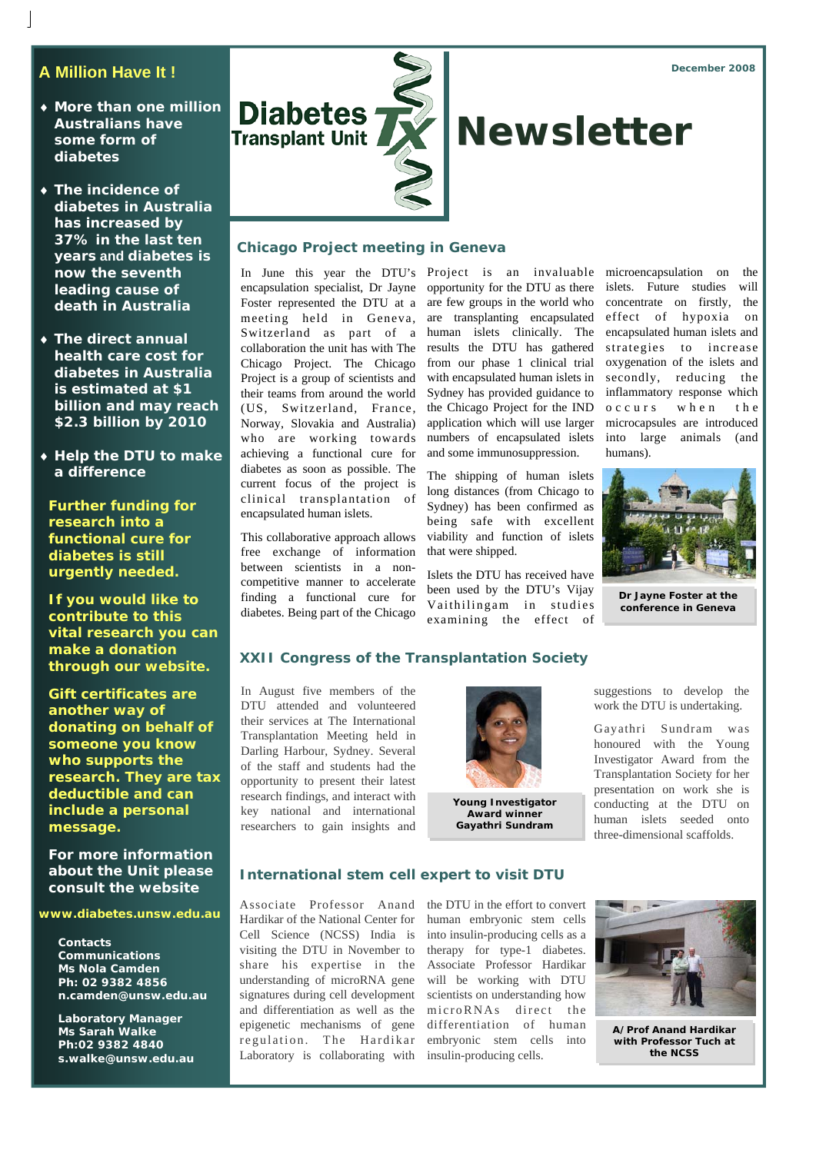*December 2008* 

# **A Million Have It !**

- ♦ **More than one million Australians have some form of diabetes**
- ♦ **The incidence of diabetes in Australia has increased by 37% in the last ten years and diabetes is now the seventh leading cause of death in Australia**
- ♦ **The direct annual health care cost for diabetes in Australia is estimated at \$1 billion and may reach \$2.3 billion by 2010**
- ♦ **Help the DTU to make a difference**

**Further funding for research into a functional cure for diabetes is still urgently needed.** 

**If you would like to contribute to this vital research you can make a donation through our website.** 

**Gift certificates are another way of donating on behalf of someone you know who supports the research. They are tax deductible and can include a personal message.** 

**For more information about the Unit please consult the website** 

**www.diabetes.unsw.edu.au** 

**Contacts Communications Ms Nola Camden Ph: 02 9382 4856 n.camden@unsw.edu.au** 

**Laboratory Manager Ms Sarah Walke Ph:02 9382 4840 s.walke@unsw.edu.au** 



## **Chicago Project meeting in Geneva**

encapsulation specialist, Dr Jayne opportunity for the DTU as there Foster represented the DTU at a are few groups in the world who meeting held in Geneva, are transplanting encapsulated Switzerland as part of a human islets clinically. The collaboration the unit has with The results the DTU has gathered Chicago Project. The Chicago from our phase 1 clinical trial Project is a group of scientists and their teams from around the world (US, Switzerland, France, Norway, Slovakia and Australia) who are working towards achieving a functional cure for diabetes as soon as possible. The current focus of the project is clinical transplantation of encapsulated human islets.

This collaborative approach allows free exchange of information between scientists in a noncompetitive manner to accelerate finding a functional cure for diabetes. Being part of the Chicago

with encapsulated human islets in Sydney has provided guidance to the Chicago Project for the IND application which will use larger numbers of encapsulated islets and some immunosuppression.

The shipping of human islets long distances (from Chicago to Sydney) has been confirmed as being safe with excellent viability and function of islets that were shipped.

Islets the DTU has received have been used by the DTU's Vijay Vaithilingam in studies examining the effect of

In June this year the DTU's Project is an invaluable microencapsulation on the islets. Future studies will concentrate on firstly, the effect of hypoxia on encapsulated human islets and strategies to increase oxygenation of the islets and secondly, reducing the inflammatory response which o c c u r s w h e n the microcapsules are introduced into large animals (and humans).



**Dr Jayne Foster at the conference in Geneva** 

### **XXII Congress of the Transplantation Society**

In August five members of the DTU attended and volunteered their services at The International Transplantation Meeting held in Darling Harbour, Sydney. Several of the staff and students had the opportunity to present their latest research findings, and interact with key national and international researchers to gain insights and



**Young Investigator Award winner Gayathri Sundram** 

suggestions to develop the work the DTU is undertaking.

Gayathri Sundram was honoured with the Young Investigator Award from the Transplantation Society for her presentation on work she is conducting at the DTU on human islets seeded onto three-dimensional scaffolds.

#### **International stem cell expert to visit DTU**

Associate Professor Anand Hardikar of the National Center for Cell Science (NCSS) India is visiting the DTU in November to share his expertise in the understanding of microRNA gene signatures during cell development and differentiation as well as the epigenetic mechanisms of gene regulation. The Hardikar Laboratory is collaborating with insulin-producing cells.

the DTU in the effort to convert human embryonic stem cells into insulin-producing cells as a therapy for type-1 diabetes. Associate Professor Hardikar will be working with DTU scientists on understanding how microRNAs direct the differentiation of human embryonic stem cells into



**A/Prof Anand Hardikar with Professor Tuch at the NCSS**